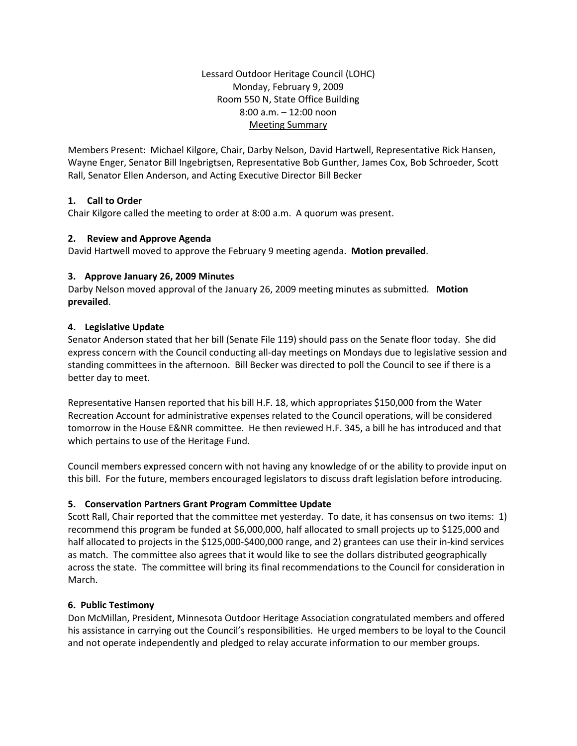Lessard Outdoor Heritage Council (LOHC) Monday, February 9, 2009 Room 550 N, State Office Building 8:00 a.m. – 12:00 noon Meeting Summary

Members Present: Michael Kilgore, Chair, Darby Nelson, David Hartwell, Representative Rick Hansen, Wayne Enger, Senator Bill Ingebrigtsen, Representative Bob Gunther, James Cox, Bob Schroeder, Scott Rall, Senator Ellen Anderson, and Acting Executive Director Bill Becker

# **1. Call to Order**

Chair Kilgore called the meeting to order at 8:00 a.m. A quorum was present.

# **2. Review and Approve Agenda**

David Hartwell moved to approve the February 9 meeting agenda. **Motion prevailed**.

# **3. Approve January 26, 2009 Minutes**

Darby Nelson moved approval of the January 26, 2009 meeting minutes as submitted. **Motion prevailed**.

# **4. Legislative Update**

Senator Anderson stated that her bill (Senate File 119) should pass on the Senate floor today. She did express concern with the Council conducting all-day meetings on Mondays due to legislative session and standing committees in the afternoon. Bill Becker was directed to poll the Council to see if there is a better day to meet.

Representative Hansen reported that his bill H.F. 18, which appropriates \$150,000 from the Water Recreation Account for administrative expenses related to the Council operations, will be considered tomorrow in the House E&NR committee. He then reviewed H.F. 345, a bill he has introduced and that which pertains to use of the Heritage Fund.

Council members expressed concern with not having any knowledge of or the ability to provide input on this bill. For the future, members encouraged legislators to discuss draft legislation before introducing.

# **5. Conservation Partners Grant Program Committee Update**

Scott Rall, Chair reported that the committee met yesterday. To date, it has consensus on two items: 1) recommend this program be funded at \$6,000,000, half allocated to small projects up to \$125,000 and half allocated to projects in the \$125,000-\$400,000 range, and 2) grantees can use their in-kind services as match. The committee also agrees that it would like to see the dollars distributed geographically across the state. The committee will bring its final recommendations to the Council for consideration in March.

# **6. Public Testimony**

Don McMillan, President, Minnesota Outdoor Heritage Association congratulated members and offered his assistance in carrying out the Council's responsibilities. He urged members to be loyal to the Council and not operate independently and pledged to relay accurate information to our member groups.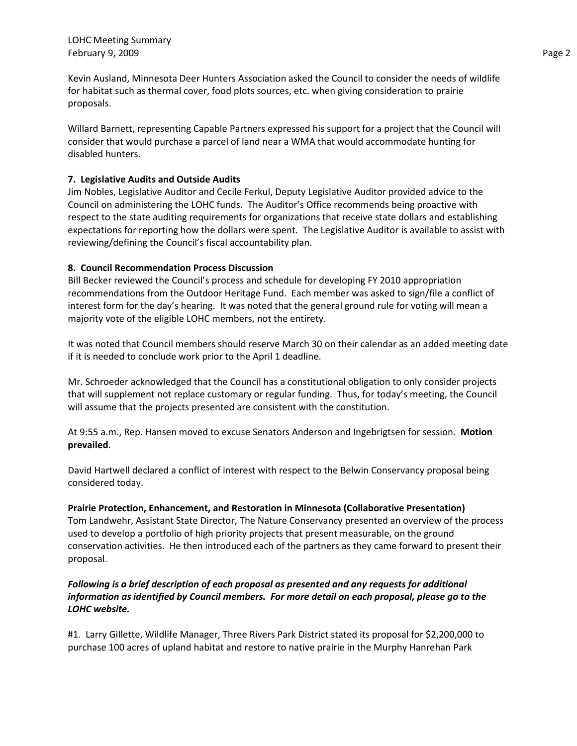Kevin Ausland, Minnesota Deer Hunters Association asked the Council to consider the needs of wildlife for habitat such as thermal cover, food plots sources, etc. when giving consideration to prairie proposals.

Willard Barnett, representing Capable Partners expressed his support for a project that the Council will consider that would purchase a parcel of land near a WMA that would accommodate hunting for disabled hunters.

## **7. Legislative Audits and Outside Audits**

Jim Nobles, Legislative Auditor and Cecile Ferkul, Deputy Legislative Auditor provided advice to the Council on administering the LOHC funds. The Auditor's Office recommends being proactive with respect to the state auditing requirements for organizations that receive state dollars and establishing expectations for reporting how the dollars were spent. The Legislative Auditor is available to assist with reviewing/defining the Council's fiscal accountability plan.

### **8. Council Recommendation Process Discussion**

Bill Becker reviewed the Council's process and schedule for developing FY 2010 appropriation recommendations from the Outdoor Heritage Fund. Each member was asked to sign/file a conflict of interest form for the day's hearing. It was noted that the general ground rule for voting will mean a majority vote of the eligible LOHC members, not the entirety.

It was noted that Council members should reserve March 30 on their calendar as an added meeting date if it is needed to conclude work prior to the April 1 deadline.

Mr. Schroeder acknowledged that the Council has a constitutional obligation to only consider projects that will supplement not replace customary or regular funding. Thus, for today's meeting, the Council will assume that the projects presented are consistent with the constitution.

At 9:55 a.m., Rep. Hansen moved to excuse Senators Anderson and Ingebrigtsen for session. **Motion prevailed**.

David Hartwell declared a conflict of interest with respect to the Belwin Conservancy proposal being considered today.

### **Prairie Protection, Enhancement, and Restoration in Minnesota (Collaborative Presentation)**

Tom Landwehr, Assistant State Director, The Nature Conservancy presented an overview of the process used to develop a portfolio of high priority projects that present measurable, on the ground conservation activities. He then introduced each of the partners as they came forward to present their proposal.

# *Following is a brief description of each proposal as presented and any requests for additional information as identified by Council members. For more detail on each proposal, please go to the LOHC website.*

#1. Larry Gillette, Wildlife Manager, Three Rivers Park District stated its proposal for \$2,200,000 to purchase 100 acres of upland habitat and restore to native prairie in the Murphy Hanrehan Park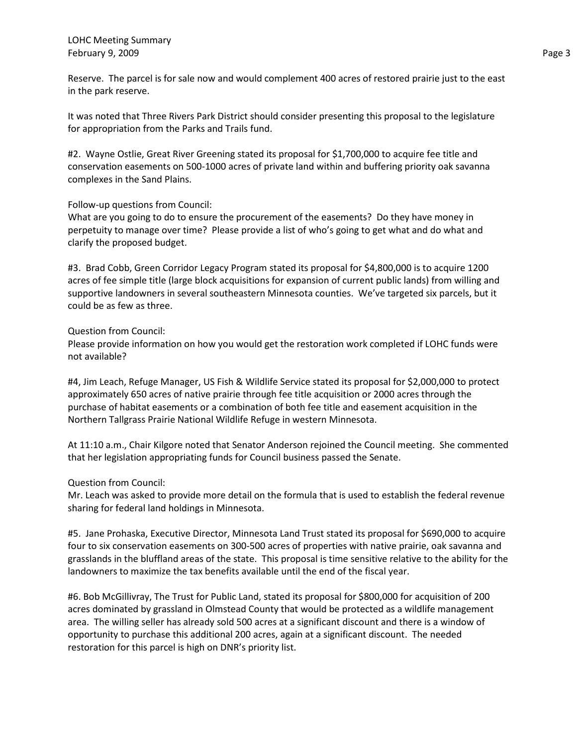Reserve. The parcel is for sale now and would complement 400 acres of restored prairie just to the east in the park reserve.

It was noted that Three Rivers Park District should consider presenting this proposal to the legislature for appropriation from the Parks and Trails fund.

#2. Wayne Ostlie, Great River Greening stated its proposal for \$1,700,000 to acquire fee title and conservation easements on 500-1000 acres of private land within and buffering priority oak savanna complexes in the Sand Plains.

### Follow-up questions from Council:

What are you going to do to ensure the procurement of the easements? Do they have money in perpetuity to manage over time? Please provide a list of who's going to get what and do what and clarify the proposed budget.

#3. Brad Cobb, Green Corridor Legacy Program stated its proposal for \$4,800,000 is to acquire 1200 acres of fee simple title (large block acquisitions for expansion of current public lands) from willing and supportive landowners in several southeastern Minnesota counties. We've targeted six parcels, but it could be as few as three.

### Question from Council:

Please provide information on how you would get the restoration work completed if LOHC funds were not available?

#4, Jim Leach, Refuge Manager, US Fish & Wildlife Service stated its proposal for \$2,000,000 to protect approximately 650 acres of native prairie through fee title acquisition or 2000 acres through the purchase of habitat easements or a combination of both fee title and easement acquisition in the Northern Tallgrass Prairie National Wildlife Refuge in western Minnesota.

At 11:10 a.m., Chair Kilgore noted that Senator Anderson rejoined the Council meeting. She commented that her legislation appropriating funds for Council business passed the Senate.

### Question from Council:

Mr. Leach was asked to provide more detail on the formula that is used to establish the federal revenue sharing for federal land holdings in Minnesota.

#5. Jane Prohaska, Executive Director, Minnesota Land Trust stated its proposal for \$690,000 to acquire four to six conservation easements on 300-500 acres of properties with native prairie, oak savanna and grasslands in the bluffland areas of the state. This proposal is time sensitive relative to the ability for the landowners to maximize the tax benefits available until the end of the fiscal year.

#6. Bob McGillivray, The Trust for Public Land, stated its proposal for \$800,000 for acquisition of 200 acres dominated by grassland in Olmstead County that would be protected as a wildlife management area. The willing seller has already sold 500 acres at a significant discount and there is a window of opportunity to purchase this additional 200 acres, again at a significant discount. The needed restoration for this parcel is high on DNR's priority list.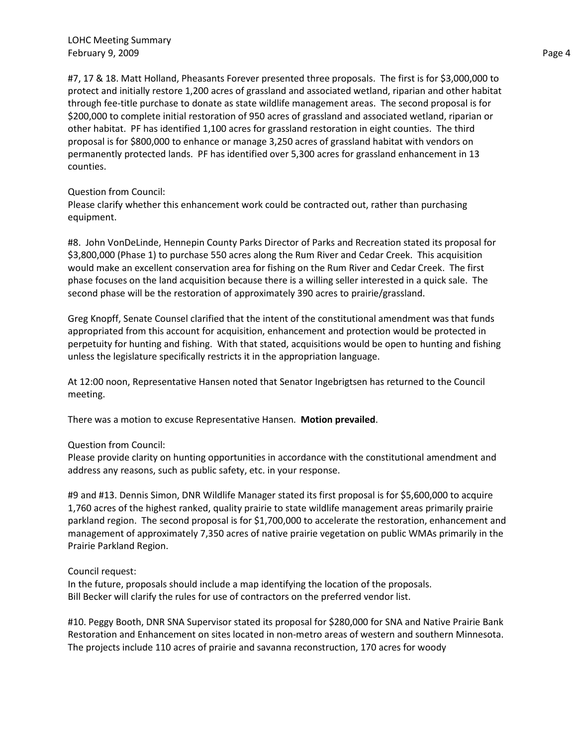#7, 17 & 18. Matt Holland, Pheasants Forever presented three proposals. The first is for \$3,000,000 to protect and initially restore 1,200 acres of grassland and associated wetland, riparian and other habitat through fee-title purchase to donate as state wildlife management areas. The second proposal is for \$200,000 to complete initial restoration of 950 acres of grassland and associated wetland, riparian or other habitat. PF has identified 1,100 acres for grassland restoration in eight counties. The third proposal is for \$800,000 to enhance or manage 3,250 acres of grassland habitat with vendors on permanently protected lands. PF has identified over 5,300 acres for grassland enhancement in 13 counties.

#### Question from Council:

Please clarify whether this enhancement work could be contracted out, rather than purchasing equipment.

#8. John VonDeLinde, Hennepin County Parks Director of Parks and Recreation stated its proposal for \$3,800,000 (Phase 1) to purchase 550 acres along the Rum River and Cedar Creek. This acquisition would make an excellent conservation area for fishing on the Rum River and Cedar Creek. The first phase focuses on the land acquisition because there is a willing seller interested in a quick sale. The second phase will be the restoration of approximately 390 acres to prairie/grassland.

Greg Knopff, Senate Counsel clarified that the intent of the constitutional amendment was that funds appropriated from this account for acquisition, enhancement and protection would be protected in perpetuity for hunting and fishing. With that stated, acquisitions would be open to hunting and fishing unless the legislature specifically restricts it in the appropriation language.

At 12:00 noon, Representative Hansen noted that Senator Ingebrigtsen has returned to the Council meeting.

There was a motion to excuse Representative Hansen. **Motion prevailed**.

### Question from Council:

Please provide clarity on hunting opportunities in accordance with the constitutional amendment and address any reasons, such as public safety, etc. in your response.

#9 and #13. Dennis Simon, DNR Wildlife Manager stated its first proposal is for \$5,600,000 to acquire 1,760 acres of the highest ranked, quality prairie to state wildlife management areas primarily prairie parkland region. The second proposal is for \$1,700,000 to accelerate the restoration, enhancement and management of approximately 7,350 acres of native prairie vegetation on public WMAs primarily in the Prairie Parkland Region.

### Council request:

In the future, proposals should include a map identifying the location of the proposals. Bill Becker will clarify the rules for use of contractors on the preferred vendor list.

#10. Peggy Booth, DNR SNA Supervisor stated its proposal for \$280,000 for SNA and Native Prairie Bank Restoration and Enhancement on sites located in non-metro areas of western and southern Minnesota. The projects include 110 acres of prairie and savanna reconstruction, 170 acres for woody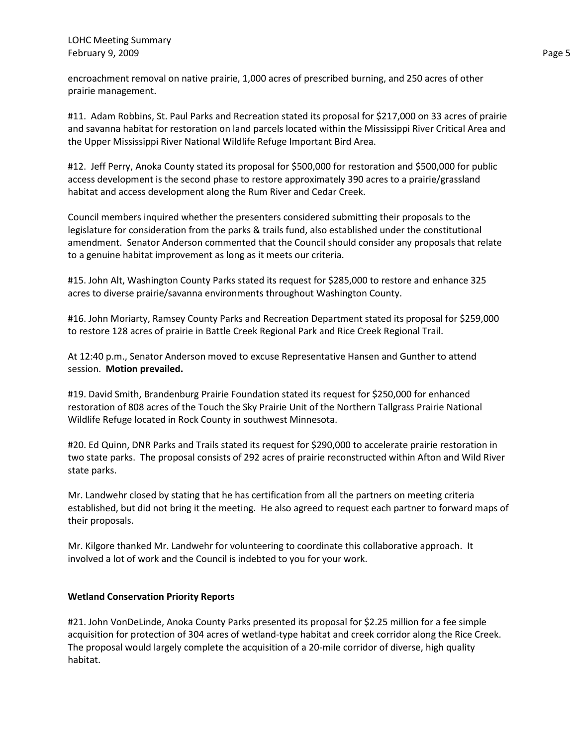encroachment removal on native prairie, 1,000 acres of prescribed burning, and 250 acres of other prairie management.

#11. Adam Robbins, St. Paul Parks and Recreation stated its proposal for \$217,000 on 33 acres of prairie and savanna habitat for restoration on land parcels located within the Mississippi River Critical Area and the Upper Mississippi River National Wildlife Refuge Important Bird Area.

#12. Jeff Perry, Anoka County stated its proposal for \$500,000 for restoration and \$500,000 for public access development is the second phase to restore approximately 390 acres to a prairie/grassland habitat and access development along the Rum River and Cedar Creek.

Council members inquired whether the presenters considered submitting their proposals to the legislature for consideration from the parks & trails fund, also established under the constitutional amendment. Senator Anderson commented that the Council should consider any proposals that relate to a genuine habitat improvement as long as it meets our criteria.

#15. John Alt, Washington County Parks stated its request for \$285,000 to restore and enhance 325 acres to diverse prairie/savanna environments throughout Washington County.

#16. John Moriarty, Ramsey County Parks and Recreation Department stated its proposal for \$259,000 to restore 128 acres of prairie in Battle Creek Regional Park and Rice Creek Regional Trail.

At 12:40 p.m., Senator Anderson moved to excuse Representative Hansen and Gunther to attend session. **Motion prevailed.**

#19. David Smith, Brandenburg Prairie Foundation stated its request for \$250,000 for enhanced restoration of 808 acres of the Touch the Sky Prairie Unit of the Northern Tallgrass Prairie National Wildlife Refuge located in Rock County in southwest Minnesota.

#20. Ed Quinn, DNR Parks and Trails stated its request for \$290,000 to accelerate prairie restoration in two state parks. The proposal consists of 292 acres of prairie reconstructed within Afton and Wild River state parks.

Mr. Landwehr closed by stating that he has certification from all the partners on meeting criteria established, but did not bring it the meeting. He also agreed to request each partner to forward maps of their proposals.

Mr. Kilgore thanked Mr. Landwehr for volunteering to coordinate this collaborative approach. It involved a lot of work and the Council is indebted to you for your work.

### **Wetland Conservation Priority Reports**

#21. John VonDeLinde, Anoka County Parks presented its proposal for \$2.25 million for a fee simple acquisition for protection of 304 acres of wetland-type habitat and creek corridor along the Rice Creek. The proposal would largely complete the acquisition of a 20-mile corridor of diverse, high quality habitat.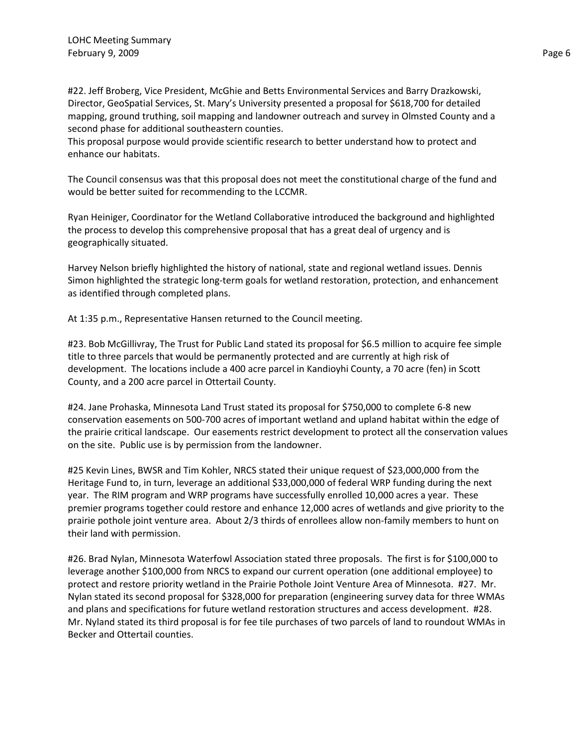#22. Jeff Broberg, Vice President, McGhie and Betts Environmental Services and Barry Drazkowski, Director, GeoSpatial Services, St. Mary's University presented a proposal for \$618,700 for detailed mapping, ground truthing, soil mapping and landowner outreach and survey in Olmsted County and a second phase for additional southeastern counties.

This proposal purpose would provide scientific research to better understand how to protect and enhance our habitats.

The Council consensus was that this proposal does not meet the constitutional charge of the fund and would be better suited for recommending to the LCCMR.

Ryan Heiniger, Coordinator for the Wetland Collaborative introduced the background and highlighted the process to develop this comprehensive proposal that has a great deal of urgency and is geographically situated.

Harvey Nelson briefly highlighted the history of national, state and regional wetland issues. Dennis Simon highlighted the strategic long-term goals for wetland restoration, protection, and enhancement as identified through completed plans.

At 1:35 p.m., Representative Hansen returned to the Council meeting.

#23. Bob McGillivray, The Trust for Public Land stated its proposal for \$6.5 million to acquire fee simple title to three parcels that would be permanently protected and are currently at high risk of development. The locations include a 400 acre parcel in Kandioyhi County, a 70 acre (fen) in Scott County, and a 200 acre parcel in Ottertail County.

#24. Jane Prohaska, Minnesota Land Trust stated its proposal for \$750,000 to complete 6-8 new conservation easements on 500-700 acres of important wetland and upland habitat within the edge of the prairie critical landscape. Our easements restrict development to protect all the conservation values on the site. Public use is by permission from the landowner.

#25 Kevin Lines, BWSR and Tim Kohler, NRCS stated their unique request of \$23,000,000 from the Heritage Fund to, in turn, leverage an additional \$33,000,000 of federal WRP funding during the next year. The RIM program and WRP programs have successfully enrolled 10,000 acres a year. These premier programs together could restore and enhance 12,000 acres of wetlands and give priority to the prairie pothole joint venture area. About 2/3 thirds of enrollees allow non-family members to hunt on their land with permission.

#26. Brad Nylan, Minnesota Waterfowl Association stated three proposals. The first is for \$100,000 to leverage another \$100,000 from NRCS to expand our current operation (one additional employee) to protect and restore priority wetland in the Prairie Pothole Joint Venture Area of Minnesota. #27. Mr. Nylan stated its second proposal for \$328,000 for preparation (engineering survey data for three WMAs and plans and specifications for future wetland restoration structures and access development. #28. Mr. Nyland stated its third proposal is for fee tile purchases of two parcels of land to roundout WMAs in Becker and Ottertail counties.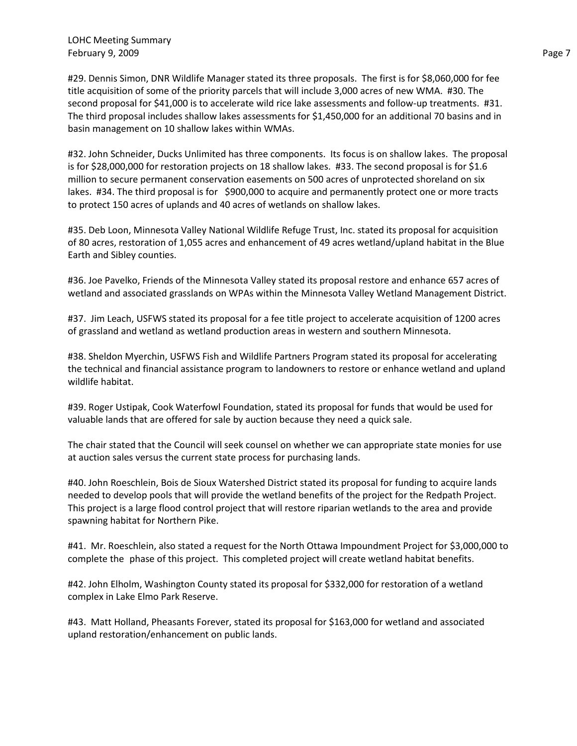#29. Dennis Simon, DNR Wildlife Manager stated its three proposals. The first is for \$8,060,000 for fee title acquisition of some of the priority parcels that will include 3,000 acres of new WMA. #30. The second proposal for \$41,000 is to accelerate wild rice lake assessments and follow-up treatments. #31. The third proposal includes shallow lakes assessments for \$1,450,000 for an additional 70 basins and in basin management on 10 shallow lakes within WMAs.

#32. John Schneider, Ducks Unlimited has three components. Its focus is on shallow lakes. The proposal is for \$28,000,000 for restoration projects on 18 shallow lakes. #33. The second proposal is for \$1.6 million to secure permanent conservation easements on 500 acres of unprotected shoreland on six lakes. #34. The third proposal is for \$900,000 to acquire and permanently protect one or more tracts to protect 150 acres of uplands and 40 acres of wetlands on shallow lakes.

#35. Deb Loon, Minnesota Valley National Wildlife Refuge Trust, Inc. stated its proposal for acquisition of 80 acres, restoration of 1,055 acres and enhancement of 49 acres wetland/upland habitat in the Blue Earth and Sibley counties.

#36. Joe Pavelko, Friends of the Minnesota Valley stated its proposal restore and enhance 657 acres of wetland and associated grasslands on WPAs within the Minnesota Valley Wetland Management District.

#37. Jim Leach, USFWS stated its proposal for a fee title project to accelerate acquisition of 1200 acres of grassland and wetland as wetland production areas in western and southern Minnesota.

#38. Sheldon Myerchin, USFWS Fish and Wildlife Partners Program stated its proposal for accelerating the technical and financial assistance program to landowners to restore or enhance wetland and upland wildlife habitat.

#39. Roger Ustipak, Cook Waterfowl Foundation, stated its proposal for funds that would be used for valuable lands that are offered for sale by auction because they need a quick sale.

The chair stated that the Council will seek counsel on whether we can appropriate state monies for use at auction sales versus the current state process for purchasing lands.

#40. John Roeschlein, Bois de Sioux Watershed District stated its proposal for funding to acquire lands needed to develop pools that will provide the wetland benefits of the project for the Redpath Project. This project is a large flood control project that will restore riparian wetlands to the area and provide spawning habitat for Northern Pike.

#41. Mr. Roeschlein, also stated a request for the North Ottawa Impoundment Project for \$3,000,000 to complete the phase of this project. This completed project will create wetland habitat benefits.

#42. John Elholm, Washington County stated its proposal for \$332,000 for restoration of a wetland complex in Lake Elmo Park Reserve.

#43. Matt Holland, Pheasants Forever, stated its proposal for \$163,000 for wetland and associated upland restoration/enhancement on public lands.